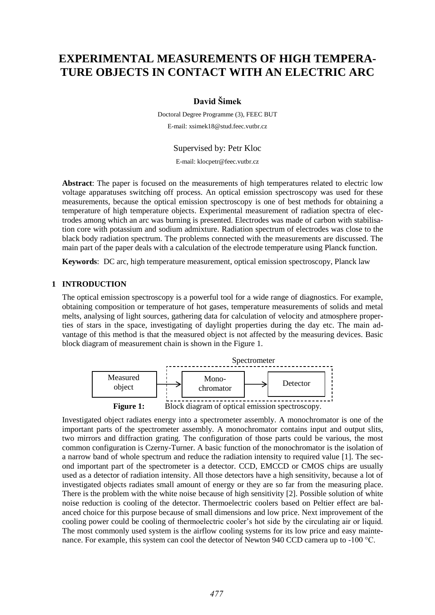# **EXPERIMENTAL MEASUREMENTS OF HIGH TEMPERA-TURE OBJECTS IN CONTACT WITH AN ELECTRIC ARC**

# **David Šimek**

Doctoral Degree Programme (3), FEEC BUT E-mail: xsimek18@stud.feec.vutbr.cz

# Supervised by: Petr Kloc

E-mail: klocpetr@feec.vutbr.cz

**Abstract**: The paper is focused on the measurements of high temperatures related to electric low voltage apparatuses switching off process. An optical emission spectroscopy was used for these measurements, because the optical emission spectroscopy is one of best methods for obtaining a temperature of high temperature objects. Experimental measurement of radiation spectra of electrodes among which an arc was burning is presented. Electrodes was made of carbon with stabilisation core with potassium and sodium admixture. Radiation spectrum of electrodes was close to the black body radiation spectrum. The problems connected with the measurements are discussed. The main part of the paper deals with a calculation of the electrode temperature using Planck function.

**Keywords**: DC arc, high temperature measurement, optical emission spectroscopy, Planck law

# **1 INTRODUCTION**

The optical emission spectroscopy is a powerful tool for a wide range of diagnostics. For example, obtaining composition or temperature of hot gases, temperature measurements of solids and metal melts, analysing of light sources, gathering data for calculation of velocity and atmosphere properties of stars in the space, investigating of daylight properties during the day etc. The main advantage of this method is that the measured object is not affected by the measuring devices. Basic block diagram of measurement chain is shown in the Figure 1.



Investigated object radiates energy into a spectrometer assembly. A monochromator is one of the important parts of the spectrometer assembly. A monochromator contains input and output slits, two mirrors and diffraction grating. The configuration of those parts could be various, the most common configuration is Czerny-Turner. A basic function of the monochromator is the isolation of a narrow band of whole spectrum and reduce the radiation intensity to required value [\[1\].](#page-4-0) The second important part of the spectrometer is a detector. CCD, EMCCD or CMOS chips are usually used as a detector of radiation intensity. All those detectors have a high sensitivity, because a lot of investigated objects radiates small amount of energy or they are so far from the measuring place. There is the problem with the white noise because of high sensitivity [\[2\].](#page-4-1) Possible solution of white noise reduction is cooling of the detector. Thermoelectric coolers based on Peltier effect are balanced choice for this purpose because of small dimensions and low price. Next improvement of the cooling power could be cooling of thermoelectric cooler's hot side by the circulating air or liquid. The most commonly used system is the airflow cooling systems for its low price and easy maintenance. For example, this system can cool the detector of Newton 940 CCD camera up to -100 °C.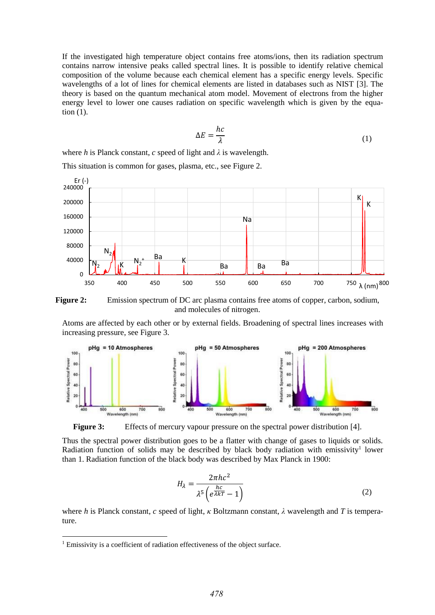If the investigated high temperature object contains free atoms/ions, then its radiation spectrum contains narrow intensive peaks called spectral lines. It is possible to identify relative chemical composition of the volume because each chemical element has a specific energy levels. Specific wavelengths of a lot of lines for chemical elements are listed in databases such as NIST [\[3\].](#page-4-2) The theory is based on the quantum mechanical atom model. Movement of electrons from the higher energy level to lower one causes radiation on specific wavelength which is given by the equation (1).

$$
\Delta E = \frac{hc}{\lambda} \tag{1}
$$

where *h* is Planck constant, *c* speed of light and  $\lambda$  is wavelength.

This situation is common for gases, plasma, etc., see Figure 2.





Atoms are affected by each other or by external fields. Broadening of spectral lines increases with increasing pressure, see Figure 3.



**Figure 3:** Effects of mercury vapour pressure on the spectral power distribution [\[4\].](#page-4-3)

Thus the spectral power distribution goes to be a flatter with change of gases to liquids or solids. Radiation function of solids may be described by black body radiation with emissivity<sup>1</sup> lower than 1. Radiation function of the black body was described by Max Planck in 1900:

$$
H_{\lambda} = \frac{2\pi hc^2}{\lambda^5 \left(e^{\frac{hc}{\lambda kT}} - 1\right)}\tag{2}
$$

where *h* is Planck constant, *c* speed of light, *κ* Boltzmann constant, *λ* wavelength and *T* is temperature.

-

<sup>&</sup>lt;sup>1</sup> Emissivity is a coefficient of radiation effectiveness of the object surface.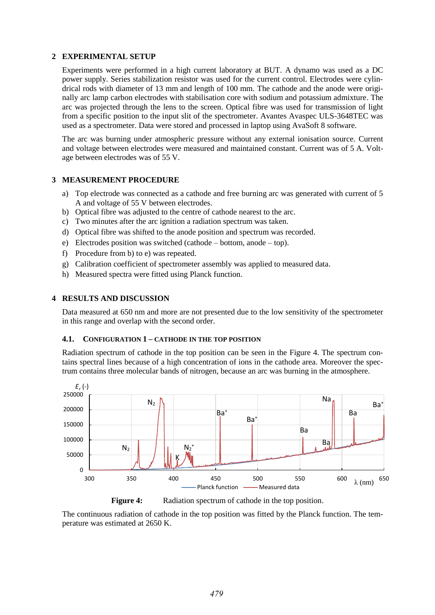# **2 EXPERIMENTAL SETUP**

Experiments were performed in a high current laboratory at BUT. A dynamo was used as a DC power supply. Series stabilization resistor was used for the current control. Electrodes were cylindrical rods with diameter of 13 mm and length of 100 mm. The cathode and the anode were originally arc lamp carbon electrodes with stabilisation core with sodium and potassium admixture. The arc was projected through the lens to the screen. Optical fibre was used for transmission of light from a specific position to the input slit of the spectrometer. Avantes Avaspec ULS-3648TEC was used as a spectrometer. Data were stored and processed in laptop using AvaSoft 8 software.

The arc was burning under atmospheric pressure without any external ionisation source. Current and voltage between electrodes were measured and maintained constant. Current was of 5 A. Voltage between electrodes was of 55 V.

# **3 MEASUREMENT PROCEDURE**

- a) Top electrode was connected as a cathode and free burning arc was generated with current of 5 A and voltage of 55 V between electrodes.
- b) Optical fibre was adjusted to the centre of cathode nearest to the arc.
- c) Two minutes after the arc ignition a radiation spectrum was taken.
- d) Optical fibre was shifted to the anode position and spectrum was recorded.
- e) Electrodes position was switched (cathode bottom, anode top).
- f) Procedure from b) to e) was repeated.
- g) Calibration coefficient of spectrometer assembly was applied to measured data.
- h) Measured spectra were fitted using Planck function.

#### **4 RESULTS AND DISCUSSION**

Data measured at 650 nm and more are not presented due to the low sensitivity of the spectrometer in this range and overlap with the second order.

# **4.1. CONFIGURATION 1 – CATHODE IN THE TOP POSITION**

Radiation spectrum of cathode in the top position can be seen in the Figure 4. The spectrum contains spectral lines because of a high concentration of ions in the cathode area. Moreover the spectrum contains three molecular bands of nitrogen, because an arc was burning in the atmosphere.





**Figure 4:** Radiation spectrum of cathode in the top position.

The continuous radiation of cathode in the top position was fitted by the Planck function. The temperature was estimated at 2650 K.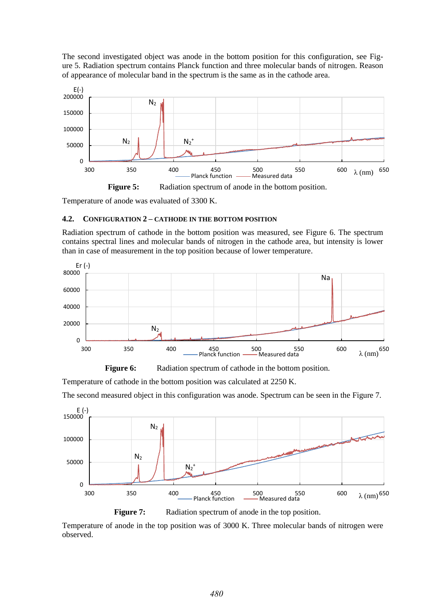The second investigated object was anode in the bottom position for this configuration, see Figure 5. Radiation spectrum contains Planck function and three molecular bands of nitrogen. Reason of appearance of molecular band in the spectrum is the same as in the cathode area.



Temperature of anode was evaluated of 3300 K.

# **4.2. CONFIGURATION 2 – CATHODE IN THE BOTTOM POSITION**

Radiation spectrum of cathode in the bottom position was measured, see Figure 6. The spectrum contains spectral lines and molecular bands of nitrogen in the cathode area, but intensity is lower than in case of measurement in the top position because of lower temperature.





Temperature of cathode in the bottom position was calculated at 2250 K.

The second measured object in this configuration was anode. Spectrum can be seen in the Figure 7.



**Figure 7:** Radiation spectrum of anode in the top position.

Temperature of anode in the top position was of 3000 K. Three molecular bands of nitrogen were observed.